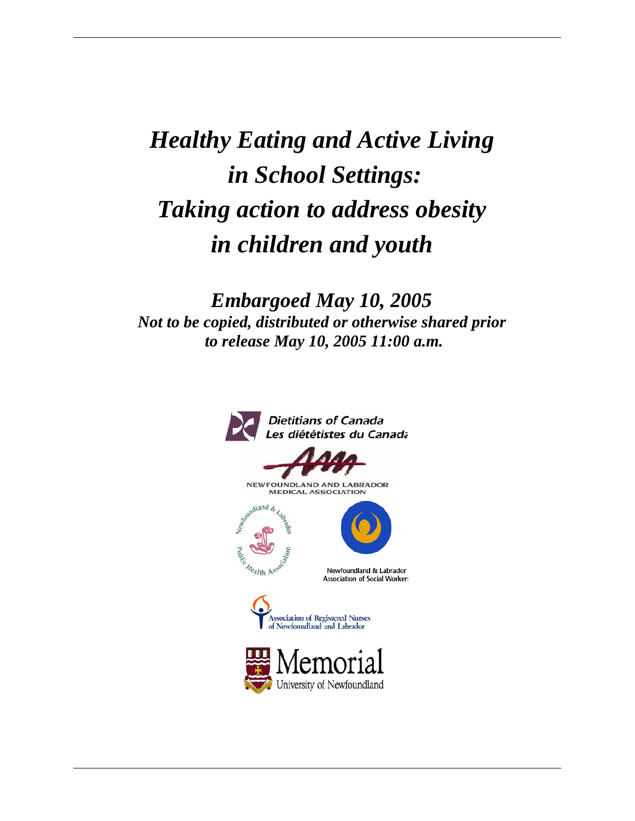# *Healthy Eating and Active Living in School Settings: Taking action to address obesity in children and youth*

*Embargoed May 10, 2005 Not to be copied, distributed or otherwise shared prior to release May 10, 2005 11:00 a.m.*

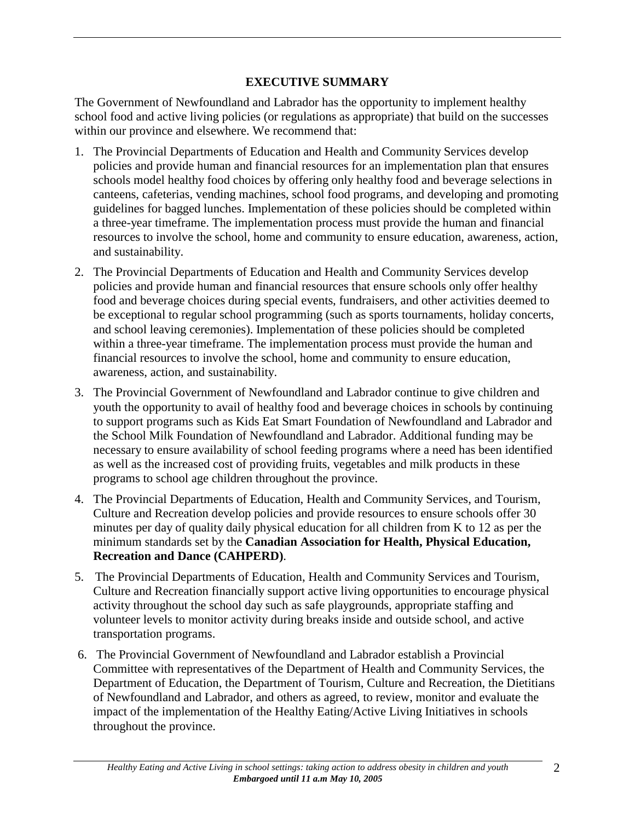## **EXECUTIVE SUMMARY**

The Government of Newfoundland and Labrador has the opportunity to implement healthy school food and active living policies (or regulations as appropriate) that build on the successes within our province and elsewhere. We recommend that:

- 1. The Provincial Departments of Education and Health and Community Services develop policies and provide human and financial resources for an implementation plan that ensures schools model healthy food choices by offering only healthy food and beverage selections in canteens, cafeterias, vending machines, school food programs, and developing and promoting guidelines for bagged lunches. Implementation of these policies should be completed within a three-year timeframe. The implementation process must provide the human and financial resources to involve the school, home and community to ensure education, awareness, action, and sustainability.
- 2. The Provincial Departments of Education and Health and Community Services develop policies and provide human and financial resources that ensure schools only offer healthy food and beverage choices during special events, fundraisers, and other activities deemed to be exceptional to regular school programming (such as sports tournaments, holiday concerts, and school leaving ceremonies). Implementation of these policies should be completed within a three-year timeframe. The implementation process must provide the human and financial resources to involve the school, home and community to ensure education, awareness, action, and sustainability.
- 3. The Provincial Government of Newfoundland and Labrador continue to give children and youth the opportunity to avail of healthy food and beverage choices in schools by continuing to support programs such as Kids Eat Smart Foundation of Newfoundland and Labrador and the School Milk Foundation of Newfoundland and Labrador. Additional funding may be necessary to ensure availability of school feeding programs where a need has been identified as well as the increased cost of providing fruits, vegetables and milk products in these programs to school age children throughout the province.
- 4. The Provincial Departments of Education, Health and Community Services, and Tourism, Culture and Recreation develop policies and provide resources to ensure schools offer 30 minutes per day of quality daily physical education for all children from K to 12 as per the minimum standards set by the **Canadian Association for Health, Physical Education, Recreation and Dance (CAHPERD)**.
- 5. The Provincial Departments of Education, Health and Community Services and Tourism, Culture and Recreation financially support active living opportunities to encourage physical activity throughout the school day such as safe playgrounds, appropriate staffing and volunteer levels to monitor activity during breaks inside and outside school, and active transportation programs.
- 6. The Provincial Government of Newfoundland and Labrador establish a Provincial Committee with representatives of the Department of Health and Community Services, the Department of Education, the Department of Tourism, Culture and Recreation, the Dietitians of Newfoundland and Labrador, and others as agreed, to review, monitor and evaluate the impact of the implementation of the Healthy Eating/Active Living Initiatives in schools throughout the province.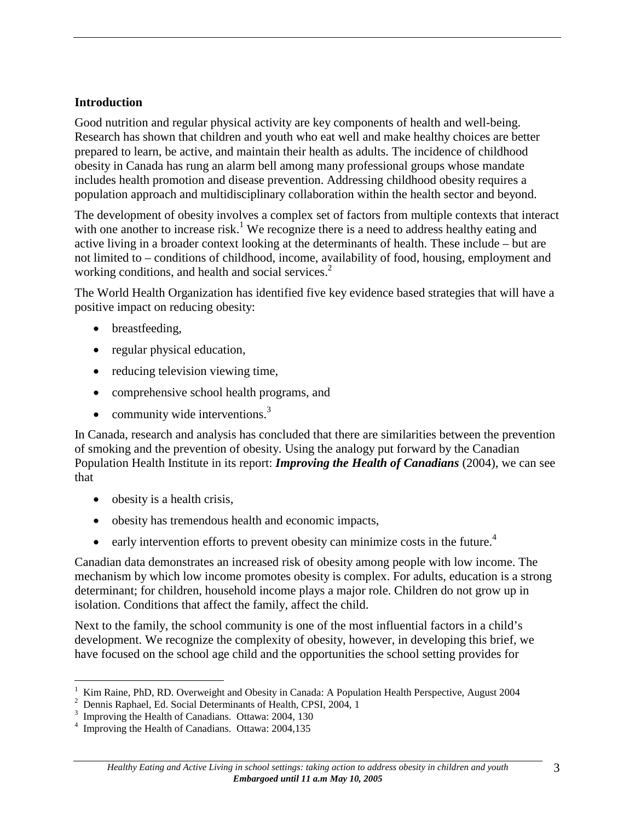#### **Introduction**

Good nutrition and regular physical activity are key components of health and well-being. Research has shown that children and youth who eat well and make healthy choices are better prepared to learn, be active, and maintain their health as adults. The incidence of childhood obesity in Canada has rung an alarm bell among many professional groups whose mandate includes health promotion and disease prevention. Addressing childhood obesity requires a population approach and multidisciplinary collaboration within the health sector and beyond.

The development of obesity involves a complex set of factors from multiple contexts that interact with one another to increase risk.<sup>1</sup> We recognize there is a need to address healthy eating and active living in a broader context looking at the determinants of health. These include – but are not limited to – conditions of childhood, income, availability of food, housing, employment and working conditions, and health and social services.<sup>2</sup>

The World Health Organization has identified five key evidence based strategies that will have a positive impact on reducing obesity:

- breastfeeding,
- regular physical education,
- reducing television viewing time,
- comprehensive school health programs, and
- community wide interventions. $3$

In Canada, research and analysis has concluded that there are similarities between the prevention of smoking and the prevention of obesity. Using the analogy put forward by the Canadian Population Health Institute in its report: *Improving the Health of Canadians* (2004), we can see that

- obesity is a health crisis,
- obesity has tremendous health and economic impacts,
- early intervention efforts to prevent obesity can minimize costs in the future.<sup>4</sup>

Canadian data demonstrates an increased risk of obesity among people with low income. The mechanism by which low income promotes obesity is complex. For adults, education is a strong determinant; for children, household income plays a major role. Children do not grow up in isolation. Conditions that affect the family, affect the child.

Next to the family, the school community is one of the most influential factors in a child's development. We recognize the complexity of obesity, however, in developing this brief, we have focused on the school age child and the opportunities the school setting provides for

<sup>-</sup>1 <sup>1</sup> Kim Raine, PhD, RD. Overweight and Obesity in Canada: A Population Health Perspective, August 2004 <sup>2</sup> Dennis Raphael Ed Social Determinants of Health CPSI 2004 1

Dennis Raphael, Ed. Social Determinants of Health, CPSI, 2004, 1

<sup>3</sup> Improving the Health of Canadians. Ottawa: 2004, 130

<sup>&</sup>lt;sup>4</sup> Improving the Health of Canadians. Ottawa: 2004,135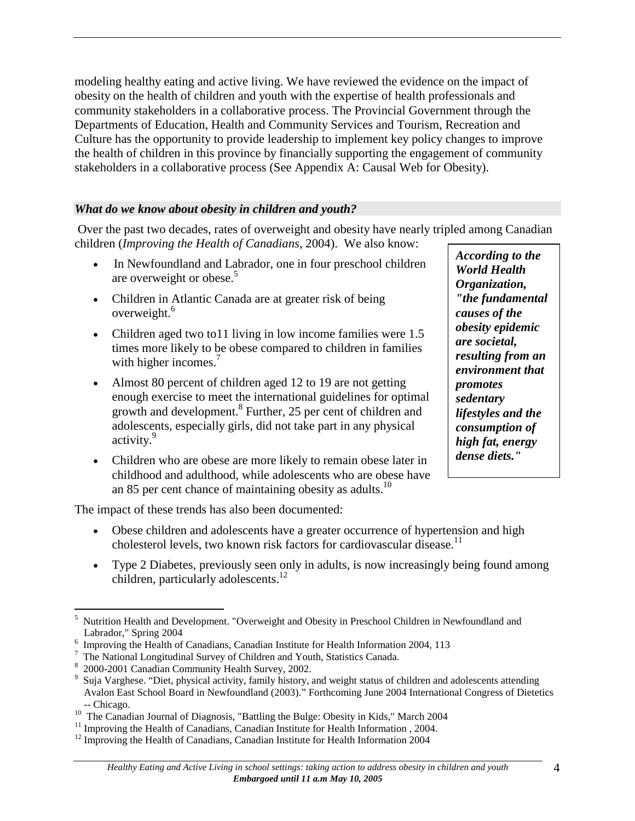modeling healthy eating and active living. We have reviewed the evidence on the impact of obesity on the health of children and youth with the expertise of health professionals and community stakeholders in a collaborative process. The Provincial Government through the Departments of Education, Health and Community Services and Tourism, Recreation and Culture has the opportunity to provide leadership to implement key policy changes to improve the health of children in this province by financially supporting the engagement of community stakeholders in a collaborative process (See Appendix A: Causal Web for Obesity).

#### *What do we know about obesity in children and youth?*

 Over the past two decades, rates of overweight and obesity have nearly tripled among Canadian children (*Improving the Health of Canadians*, 2004). We also know:

- In Newfoundland and Labrador, one in four preschool children are overweight or obese.<sup>5</sup>
- Children in Atlantic Canada are at greater risk of being overweight.<sup>6</sup>
- Children aged two to 11 living in low income families were 1.5 times more likely to be obese compared to children in families with higher incomes.<sup>7</sup>
- Almost 80 percent of children aged 12 to 19 are not getting enough exercise to meet the international guidelines for optimal growth and development.<sup>8</sup> Further, 25 per cent of children and adolescents, especially girls, did not take part in any physical activity.<sup>9</sup>
- Children who are obese are more likely to remain obese later in childhood and adulthood, while adolescents who are obese have an 85 per cent chance of maintaining obesity as adults.<sup>10</sup>

The impact of these trends has also been documented:

- Obese children and adolescents have a greater occurrence of hypertension and high cholesterol levels, two known risk factors for cardiovascular disease.<sup>11</sup>
- Type 2 Diabetes, previously seen only in adults, is now increasingly being found among children, particularly adolescents.<sup>12</sup>

*According to the World Health Organization, "the fundamental causes of the obesity epidemic are societal, resulting from an environment that promotes sedentary lifestyles and the consumption of high fat, energy dense diets."*

<sup>-</sup>5 Nutrition Health and Development. "Overweight and Obesity in Preschool Children in Newfoundland and Labrador," Spring 2004

 $6$  Improving the Health of Canadians, Canadian Institute for Health Information 2004, 113

The National Longitudinal Survey of Children and Youth, Statistics Canada.

 <sup>2000-2001</sup> Canadian Community Health Survey, 2002.

<sup>9</sup> Suja Varghese. "Diet, physical activity, family history, and weight status of children and adolescents attending Avalon East School Board in Newfoundland (2003)." Forthcoming June 2004 International Congress of Dietetics -- Chicago.<br><sup>10</sup> The Canadian Journal of Diagnosis, "Battling the Bulge: Obesity in Kids," March 2004 <sup>11</sup> Improving the Health of Canadians, Canadian Institute for Health Information , 2004.

 $12$  Improving the Health of Canadians, Canadian Institute for Health Information 2004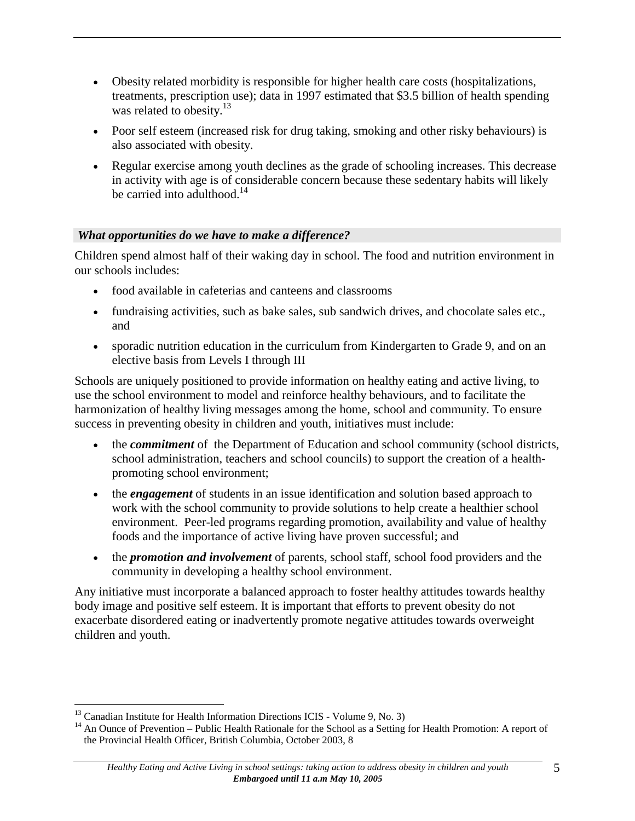- Obesity related morbidity is responsible for higher health care costs (hospitalizations, treatments, prescription use); data in 1997 estimated that \$3.5 billion of health spending was related to obesity.<sup>13</sup>
- Poor self esteem (increased risk for drug taking, smoking and other risky behaviours) is also associated with obesity.
- Regular exercise among youth declines as the grade of schooling increases. This decrease in activity with age is of considerable concern because these sedentary habits will likely be carried into adulthood. $14$

### *What opportunities do we have to make a difference?*

Children spend almost half of their waking day in school. The food and nutrition environment in our schools includes:

- food available in cafeterias and canteens and classrooms
- fundraising activities, such as bake sales, sub sandwich drives, and chocolate sales etc., and
- sporadic nutrition education in the curriculum from Kindergarten to Grade 9, and on an elective basis from Levels I through III

Schools are uniquely positioned to provide information on healthy eating and active living, to use the school environment to model and reinforce healthy behaviours, and to facilitate the harmonization of healthy living messages among the home, school and community. To ensure success in preventing obesity in children and youth, initiatives must include:

- the *commitment* of the Department of Education and school community (school districts, school administration, teachers and school councils) to support the creation of a healthpromoting school environment;
- the *engagement* of students in an issue identification and solution based approach to work with the school community to provide solutions to help create a healthier school environment. Peer-led programs regarding promotion, availability and value of healthy foods and the importance of active living have proven successful; and
- the *promotion and involvement* of parents, school staff, school food providers and the community in developing a healthy school environment.

Any initiative must incorporate a balanced approach to foster healthy attitudes towards healthy body image and positive self esteem. It is important that efforts to prevent obesity do not exacerbate disordered eating or inadvertently promote negative attitudes towards overweight children and youth.

 $\overline{a}$ 

<sup>&</sup>lt;sup>13</sup> Canadian Institute for Health Information Directions ICIS - Volume 9, No. 3)<br><sup>14</sup> An Ounce of Prevention – Public Health Rationale for the School as a Setting for Health Promotion: A report of the Provincial Health Officer, British Columbia, October 2003, 8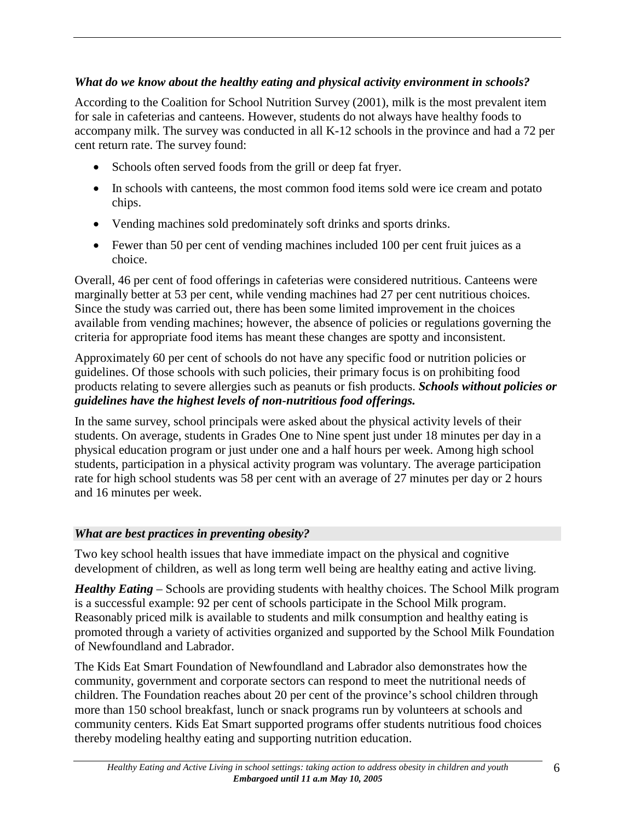## *What do we know about the healthy eating and physical activity environment in schools?*

According to the Coalition for School Nutrition Survey (2001), milk is the most prevalent item for sale in cafeterias and canteens. However, students do not always have healthy foods to accompany milk. The survey was conducted in all K-12 schools in the province and had a 72 per cent return rate. The survey found:

- Schools often served foods from the grill or deep fat fryer.
- In schools with canteens, the most common food items sold were ice cream and potato chips.
- Vending machines sold predominately soft drinks and sports drinks.
- Fewer than 50 per cent of vending machines included 100 per cent fruit juices as a choice.

Overall, 46 per cent of food offerings in cafeterias were considered nutritious. Canteens were marginally better at 53 per cent, while vending machines had 27 per cent nutritious choices. Since the study was carried out, there has been some limited improvement in the choices available from vending machines; however, the absence of policies or regulations governing the criteria for appropriate food items has meant these changes are spotty and inconsistent.

Approximately 60 per cent of schools do not have any specific food or nutrition policies or guidelines. Of those schools with such policies, their primary focus is on prohibiting food products relating to severe allergies such as peanuts or fish products. *Schools without policies or guidelines have the highest levels of non-nutritious food offerings.* 

In the same survey, school principals were asked about the physical activity levels of their students. On average, students in Grades One to Nine spent just under 18 minutes per day in a physical education program or just under one and a half hours per week. Among high school students, participation in a physical activity program was voluntary. The average participation rate for high school students was 58 per cent with an average of 27 minutes per day or 2 hours and 16 minutes per week.

# *What are best practices in preventing obesity?*

Two key school health issues that have immediate impact on the physical and cognitive development of children, as well as long term well being are healthy eating and active living.

*Healthy Eating* – Schools are providing students with healthy choices. The School Milk program is a successful example: 92 per cent of schools participate in the School Milk program. Reasonably priced milk is available to students and milk consumption and healthy eating is promoted through a variety of activities organized and supported by the School Milk Foundation of Newfoundland and Labrador.

The Kids Eat Smart Foundation of Newfoundland and Labrador also demonstrates how the community, government and corporate sectors can respond to meet the nutritional needs of children. The Foundation reaches about 20 per cent of the province's school children through more than 150 school breakfast, lunch or snack programs run by volunteers at schools and community centers. Kids Eat Smart supported programs offer students nutritious food choices thereby modeling healthy eating and supporting nutrition education.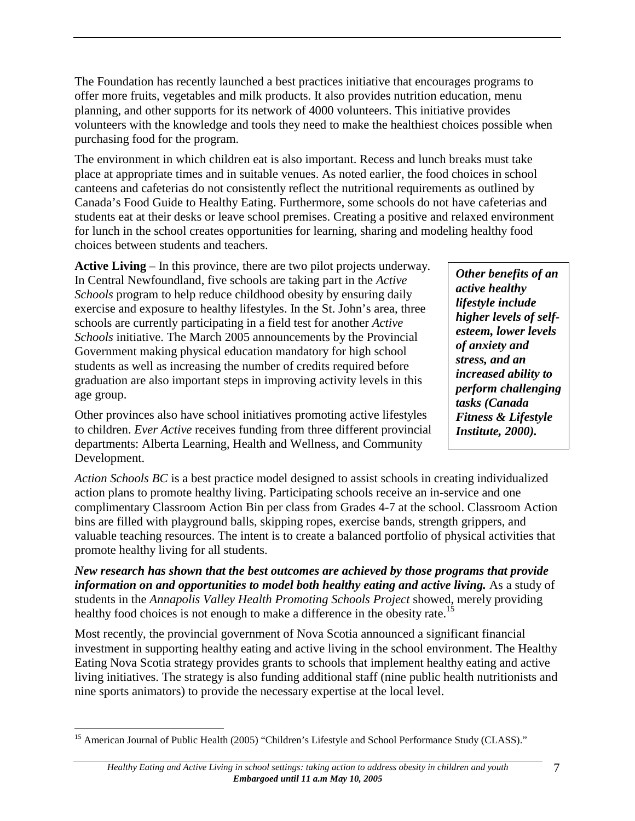The Foundation has recently launched a best practices initiative that encourages programs to offer more fruits, vegetables and milk products. It also provides nutrition education, menu planning, and other supports for its network of 4000 volunteers. This initiative provides volunteers with the knowledge and tools they need to make the healthiest choices possible when purchasing food for the program.

The environment in which children eat is also important. Recess and lunch breaks must take place at appropriate times and in suitable venues. As noted earlier, the food choices in school canteens and cafeterias do not consistently reflect the nutritional requirements as outlined by Canada's Food Guide to Healthy Eating. Furthermore, some schools do not have cafeterias and students eat at their desks or leave school premises. Creating a positive and relaxed environment for lunch in the school creates opportunities for learning, sharing and modeling healthy food choices between students and teachers.

**Active Living** – In this province, there are two pilot projects underway. In Central Newfoundland, five schools are taking part in the *Active Schools* program to help reduce childhood obesity by ensuring daily exercise and exposure to healthy lifestyles. In the St. John's area, three schools are currently participating in a field test for another *Active Schools* initiative. The March 2005 announcements by the Provincial Government making physical education mandatory for high school students as well as increasing the number of credits required before graduation are also important steps in improving activity levels in this age group.

*active healthy lifestyle include higher levels of selfesteem, lower levels of anxiety and stress, and an increased ability to perform challenging tasks (Canada Fitness & Lifestyle Institute, 2000).*

*Other benefits of an* 

Other provinces also have school initiatives promoting active lifestyles to children. *Ever Active* receives funding from three different provincial departments: Alberta Learning, Health and Wellness, and Community Development.

*Action Schools BC* is a best practice model designed to assist schools in creating individualized action plans to promote healthy living. Participating schools receive an in-service and one complimentary Classroom Action Bin per class from Grades 4-7 at the school. Classroom Action bins are filled with playground balls, skipping ropes, exercise bands, strength grippers, and valuable teaching resources. The intent is to create a balanced portfolio of physical activities that promote healthy living for all students.

*New research has shown that the best outcomes are achieved by those programs that provide information on and opportunities to model both healthy eating and active living.* As a study of students in the *Annapolis Valley Health Promoting Schools Project* showed, merely providing healthy food choices is not enough to make a difference in the obesity rate.<sup>15</sup>

Most recently, the provincial government of Nova Scotia announced a significant financial investment in supporting healthy eating and active living in the school environment. The Healthy Eating Nova Scotia strategy provides grants to schools that implement healthy eating and active living initiatives. The strategy is also funding additional staff (nine public health nutritionists and nine sports animators) to provide the necessary expertise at the local level.

<sup>1</sup> <sup>15</sup> American Journal of Public Health (2005) "Children's Lifestyle and School Performance Study (CLASS)."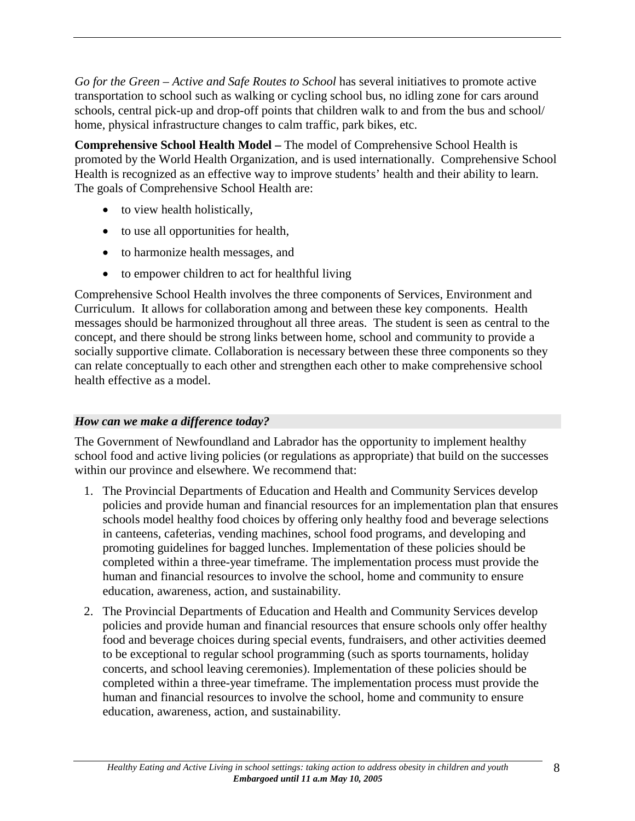*Go for the Green – Active and Safe Routes to School* has several initiatives to promote active transportation to school such as walking or cycling school bus, no idling zone for cars around schools, central pick-up and drop-off points that children walk to and from the bus and school/ home, physical infrastructure changes to calm traffic, park bikes, etc.

**Comprehensive School Health Model –** The model of Comprehensive School Health is promoted by the World Health Organization, and is used internationally. Comprehensive School Health is recognized as an effective way to improve students' health and their ability to learn. The goals of Comprehensive School Health are:

- to view health holistically,
- to use all opportunities for health,
- to harmonize health messages, and
- to empower children to act for healthful living

Comprehensive School Health involves the three components of Services, Environment and Curriculum. It allows for collaboration among and between these key components. Health messages should be harmonized throughout all three areas. The student is seen as central to the concept, and there should be strong links between home, school and community to provide a socially supportive climate. Collaboration is necessary between these three components so they can relate conceptually to each other and strengthen each other to make comprehensive school health effective as a model.

## *How can we make a difference today?*

The Government of Newfoundland and Labrador has the opportunity to implement healthy school food and active living policies (or regulations as appropriate) that build on the successes within our province and elsewhere. We recommend that:

- 1. The Provincial Departments of Education and Health and Community Services develop policies and provide human and financial resources for an implementation plan that ensures schools model healthy food choices by offering only healthy food and beverage selections in canteens, cafeterias, vending machines, school food programs, and developing and promoting guidelines for bagged lunches. Implementation of these policies should be completed within a three-year timeframe. The implementation process must provide the human and financial resources to involve the school, home and community to ensure education, awareness, action, and sustainability.
- 2. The Provincial Departments of Education and Health and Community Services develop policies and provide human and financial resources that ensure schools only offer healthy food and beverage choices during special events, fundraisers, and other activities deemed to be exceptional to regular school programming (such as sports tournaments, holiday concerts, and school leaving ceremonies). Implementation of these policies should be completed within a three-year timeframe. The implementation process must provide the human and financial resources to involve the school, home and community to ensure education, awareness, action, and sustainability.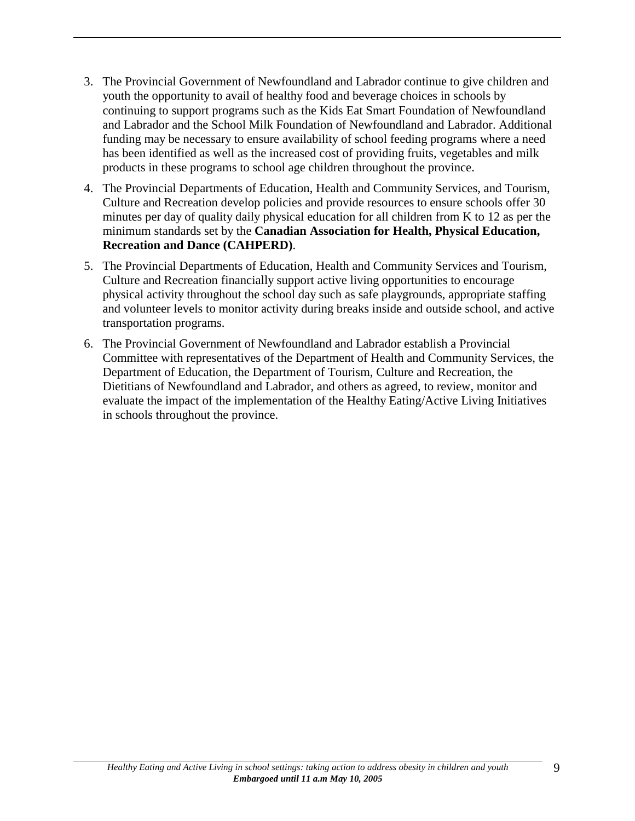- 3. The Provincial Government of Newfoundland and Labrador continue to give children and youth the opportunity to avail of healthy food and beverage choices in schools by continuing to support programs such as the Kids Eat Smart Foundation of Newfoundland and Labrador and the School Milk Foundation of Newfoundland and Labrador. Additional funding may be necessary to ensure availability of school feeding programs where a need has been identified as well as the increased cost of providing fruits, vegetables and milk products in these programs to school age children throughout the province.
- 4. The Provincial Departments of Education, Health and Community Services, and Tourism, Culture and Recreation develop policies and provide resources to ensure schools offer 30 minutes per day of quality daily physical education for all children from K to 12 as per the minimum standards set by the **Canadian Association for Health, Physical Education, Recreation and Dance (CAHPERD)**.
- 5. The Provincial Departments of Education, Health and Community Services and Tourism, Culture and Recreation financially support active living opportunities to encourage physical activity throughout the school day such as safe playgrounds, appropriate staffing and volunteer levels to monitor activity during breaks inside and outside school, and active transportation programs.
- 6. The Provincial Government of Newfoundland and Labrador establish a Provincial Committee with representatives of the Department of Health and Community Services, the Department of Education, the Department of Tourism, Culture and Recreation, the Dietitians of Newfoundland and Labrador, and others as agreed, to review, monitor and evaluate the impact of the implementation of the Healthy Eating/Active Living Initiatives in schools throughout the province.